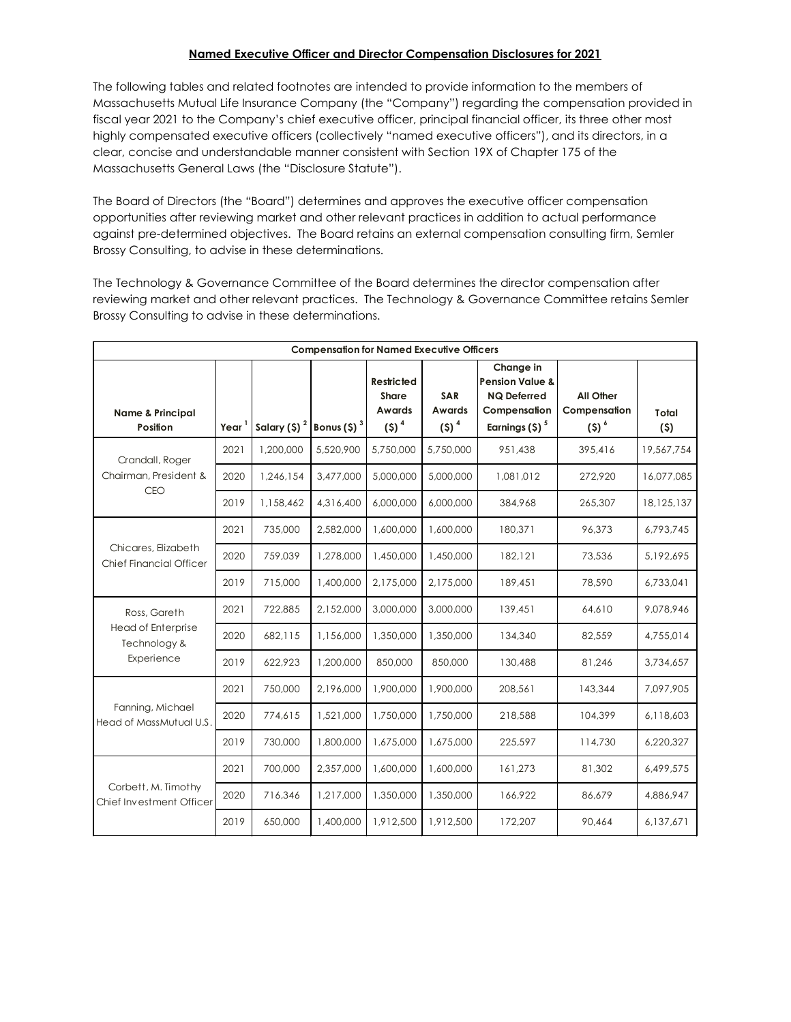## Named Executive Officer and Director Compensation Disclosures for 2021

The following tables and related footnotes are intended to provide information to the members of Massachusetts Mutual Life Insurance Company (the "Company") regarding the compensation provided in fiscal year 2021 to the Company's chief executive officer, principal financial officer, its three other most highly compensated executive officers (collectively "named executive officers"), and its directors, in a clear, concise and understandable manner consistent with Section 19X of Chapter 175 of the Massachusetts General Laws (the "Disclosure Statute").

| Massachusetts Mutual Life Insurance Company (the "Company") regarding the compensation provided in<br>fiscal year 2021 to the Company's chief executive officer, principal financial officer, its three other most<br>highly compensated executive officers (collectively "named executive officers"), and its directors, in a<br>clear, concise and understandable manner consistent with Section 19X of Chapter 175 of the<br>Massachusetts General Laws (the "Disclosure Statute"). |                           |                                                     |           |                                                                                          |                      |                                                                               |                               |                   |
|----------------------------------------------------------------------------------------------------------------------------------------------------------------------------------------------------------------------------------------------------------------------------------------------------------------------------------------------------------------------------------------------------------------------------------------------------------------------------------------|---------------------------|-----------------------------------------------------|-----------|------------------------------------------------------------------------------------------|----------------------|-------------------------------------------------------------------------------|-------------------------------|-------------------|
| The Board of Directors (the "Board") determines and approves the executive officer compensation<br>opportunities after reviewing market and other relevant practices in addition to actual performance<br>against pre-determined objectives. The Board retains an external compensation consulting firm, Semler<br>Brossy Consulting, to advise in these determinations.                                                                                                               |                           |                                                     |           |                                                                                          |                      |                                                                               |                               |                   |
| The Technology & Governance Committee of the Board determines the director compensation after<br>reviewing market and other relevant practices. The Technology & Governance Committee retains Semler<br>Brossy Consulting to advise in these determinations.                                                                                                                                                                                                                           |                           |                                                     |           |                                                                                          |                      |                                                                               |                               |                   |
| <b>Name &amp; Principal</b>                                                                                                                                                                                                                                                                                                                                                                                                                                                            |                           |                                                     |           | <b>Compensation for Named Executive Officers</b><br><b>Restricted</b><br>Share<br>Awards | SAR<br>Awards        | Change in<br><b>Pension Value &amp;</b><br><b>NQ Deferred</b><br>Compensation | All Other<br>Compensation     | Total             |
| Position<br>Crandall, Roger<br>Chairman, President &<br><b>CEO</b>                                                                                                                                                                                                                                                                                                                                                                                                                     | Year <sup>1</sup><br>2021 | Salary (\$) $2^{2}$ Bonus (\$) $3^{3}$<br>1,200,000 | 5,520,900 | $(5)^4$<br>5,750,000                                                                     | $(5)^4$<br>5,750,000 | Earnings $(5)$ <sup>3</sup><br>951,438                                        | $(S)$ <sup>6</sup><br>395,416 | (5)<br>19,567,754 |
|                                                                                                                                                                                                                                                                                                                                                                                                                                                                                        |                           |                                                     |           |                                                                                          |                      |                                                                               |                               |                   |
|                                                                                                                                                                                                                                                                                                                                                                                                                                                                                        | 2020                      | 1,246,154                                           | 3,477,000 | 5,000,000                                                                                | 5,000,000            | 1,081,012                                                                     | 272,920                       | 16,077,085        |
|                                                                                                                                                                                                                                                                                                                                                                                                                                                                                        | 2019                      | 1,158,462                                           | 4,316,400 | 6,000,000                                                                                | 6,000,000            | 384,968                                                                       | 265,307                       | 18,125,137        |
| Chicares, Elizabeth                                                                                                                                                                                                                                                                                                                                                                                                                                                                    | 2021                      | 735,000                                             | 2,582,000 | 1,600,000                                                                                | 1,600,000            | 180,371                                                                       | 96,373                        | 6,793,745         |
| <b>Chief Financial Officer</b>                                                                                                                                                                                                                                                                                                                                                                                                                                                         | 2020                      | 759,039                                             | 1,278,000 | 1,450,000                                                                                | 1,450,000            | 182,121                                                                       | 73,536                        | 5,192,695         |
|                                                                                                                                                                                                                                                                                                                                                                                                                                                                                        | 2019                      | 715,000                                             | 1,400,000 | 2,175,000                                                                                | 2,175,000            | 189,451                                                                       | 78,590                        | 6,733,041         |
| Ross, Gareth<br>Head of Enterprise                                                                                                                                                                                                                                                                                                                                                                                                                                                     | 2021                      | 722,885                                             | 2,152,000 | 3,000,000                                                                                | 3,000,000            | 139,451                                                                       | 64,610                        | 9,078,946         |
| Technology &                                                                                                                                                                                                                                                                                                                                                                                                                                                                           | 2020                      | 682,115                                             | 1,156,000 | 1,350,000                                                                                | 1,350,000            | 134,340                                                                       | 82,559                        | 4,755,014         |
| Experience                                                                                                                                                                                                                                                                                                                                                                                                                                                                             | 2019                      | 622.923                                             | 1,200,000 | 850,000                                                                                  | 850,000              | 130,488                                                                       | 81.246                        | 3,734,657         |
|                                                                                                                                                                                                                                                                                                                                                                                                                                                                                        | 2021                      | 750,000                                             | 2,196,000 | 1,900,000                                                                                | 1,900,000            | 208,561                                                                       | 143,344                       | 7,097,905         |
| Fanning, Michael<br>Head of MassMutual U.S.                                                                                                                                                                                                                                                                                                                                                                                                                                            | 2020                      | 774,615                                             | 1,521,000 | 1,750,000                                                                                | 1,750,000            | 218,588                                                                       | 104,399                       | 6,118,603         |
|                                                                                                                                                                                                                                                                                                                                                                                                                                                                                        | 2019                      | 730,000                                             | 1,800,000 | 1,675,000                                                                                | 1,675,000            | 225,597                                                                       | 114,730                       | 6,220,327         |
|                                                                                                                                                                                                                                                                                                                                                                                                                                                                                        | 2021                      | 700,000                                             | 2,357,000 | 1,600,000                                                                                | 1,600,000            | 161,273                                                                       | 81,302                        | 6,499,575         |
| Corbett, M. Timothy<br>Chief Investment Officer                                                                                                                                                                                                                                                                                                                                                                                                                                        | 2020                      | 716,346                                             | 1,217,000 | 1,350,000                                                                                | 1,350,000            | 166,922                                                                       | 86,679                        | 4,886,947         |
|                                                                                                                                                                                                                                                                                                                                                                                                                                                                                        | 2019                      | 650,000                                             | 1,400,000 | 1,912,500                                                                                | 1,912,500            | 172,207                                                                       | 90,464                        | 6,137,671         |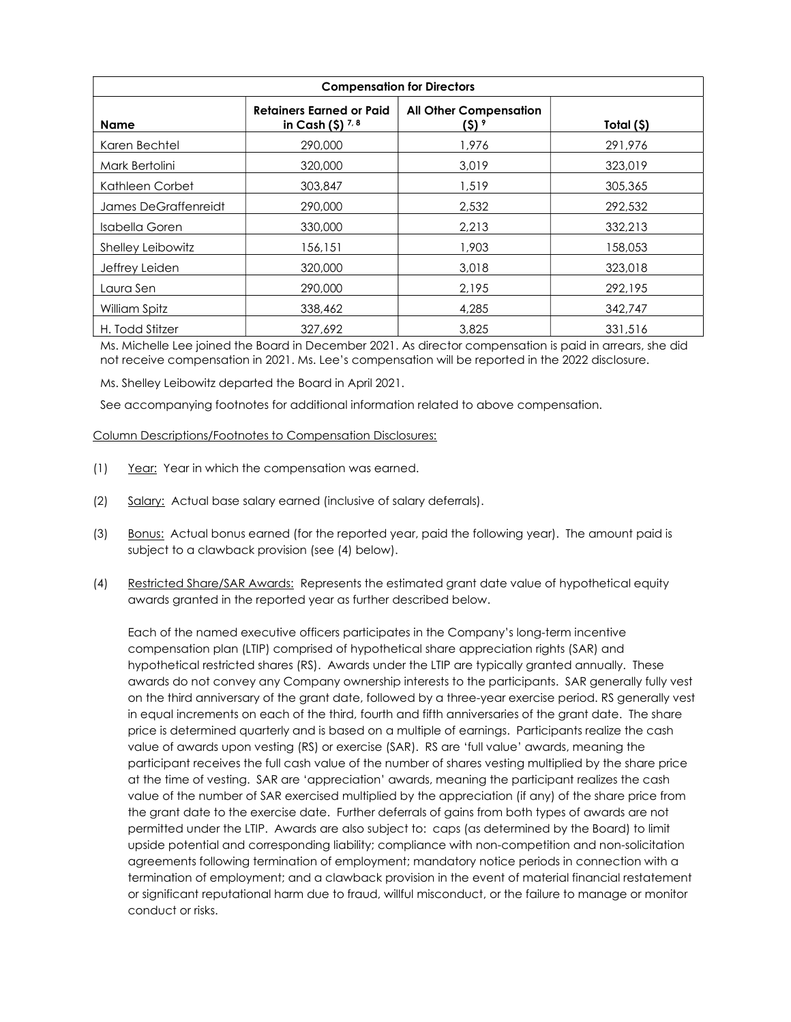| <b>Compensation for Directors</b> |                                               |                               |            |  |  |  |  |  |
|-----------------------------------|-----------------------------------------------|-------------------------------|------------|--|--|--|--|--|
| <b>Name</b>                       | Retainers Earned or Paid<br>in Cash $(5)$ 7.8 | <b>All Other Compensation</b> | Total (\$) |  |  |  |  |  |
| Karen Bechtel                     | 290,000                                       | 1,976                         | 291,976    |  |  |  |  |  |
| Mark Bertolini                    | 320,000                                       | 3,019                         | 323,019    |  |  |  |  |  |
| Kathleen Corbet                   | 303,847                                       | 1,519                         | 305,365    |  |  |  |  |  |
| James DeGraffenreidt              | 290,000                                       | 2,532                         | 292,532    |  |  |  |  |  |
| Isabella Goren                    | 330,000                                       | 2.213                         | 332,213    |  |  |  |  |  |
| Shelley Leibowitz                 | 156,151                                       | 1,903                         | 158,053    |  |  |  |  |  |
| Jeffrey Leiden                    | 320,000                                       | 3,018                         | 323,018    |  |  |  |  |  |
| Laura Sen                         | 290,000                                       | 2,195                         | 292,195    |  |  |  |  |  |
| William Spitz                     | 338,462                                       | 4,285                         | 342,747    |  |  |  |  |  |
| H. Todd Stitzer                   | 327,692                                       | 3,825                         | 331,516    |  |  |  |  |  |

Ms. Michelle Lee joined the Board in December 2021. As director compensation is paid in arrears, she did not receive compensation in 2021. Ms. Lee's compensation will be reported in the 2022 disclosure.

Ms. Shelley Leibowitz departed the Board in April 2021.

See accompanying footnotes for additional information related to above compensation.

Column Descriptions/Footnotes to Compensation Disclosures:

- (1) Year: Year in which the compensation was earned.
- (2) Salary: Actual base salary earned (inclusive of salary deferrals).
- (3) Bonus: Actual bonus earned (for the reported year, paid the following year). The amount paid is subject to a clawback provision (see (4) below).
- (4) Restricted Share/SAR Awards: Represents the estimated grant date value of hypothetical equity awards granted in the reported year as further described below.

Each of the named executive officers participates in the Company's long-term incentive compensation plan (LTIP) comprised of hypothetical share appreciation rights (SAR) and hypothetical restricted shares (RS). Awards under the LTIP are typically granted annually. These awards do not convey any Company ownership interests to the participants. SAR generally fully vest on the third anniversary of the grant date, followed by a three-year exercise period. RS generally vest in equal increments on each of the third, fourth and fifth anniversaries of the grant date. The share price is determined quarterly and is based on a multiple of earnings. Participants realize the cash value of awards upon vesting (RS) or exercise (SAR). RS are 'full value' awards, meaning the participant receives the full cash value of the number of shares vesting multiplied by the share price at the time of vesting. SAR are 'appreciation' awards, meaning the participant realizes the cash value of the number of SAR exercised multiplied by the appreciation (if any) of the share price from the grant date to the exercise date. Further deferrals of gains from both types of awards are not permitted under the LTIP. Awards are also subject to: caps (as determined by the Board) to limit upside potential and corresponding liability; compliance with non-competition and non-solicitation agreements following termination of employment; mandatory notice periods in connection with a termination of employment; and a clawback provision in the event of material financial restatement or significant reputational harm due to fraud, willful misconduct, or the failure to manage or monitor conduct or risks.